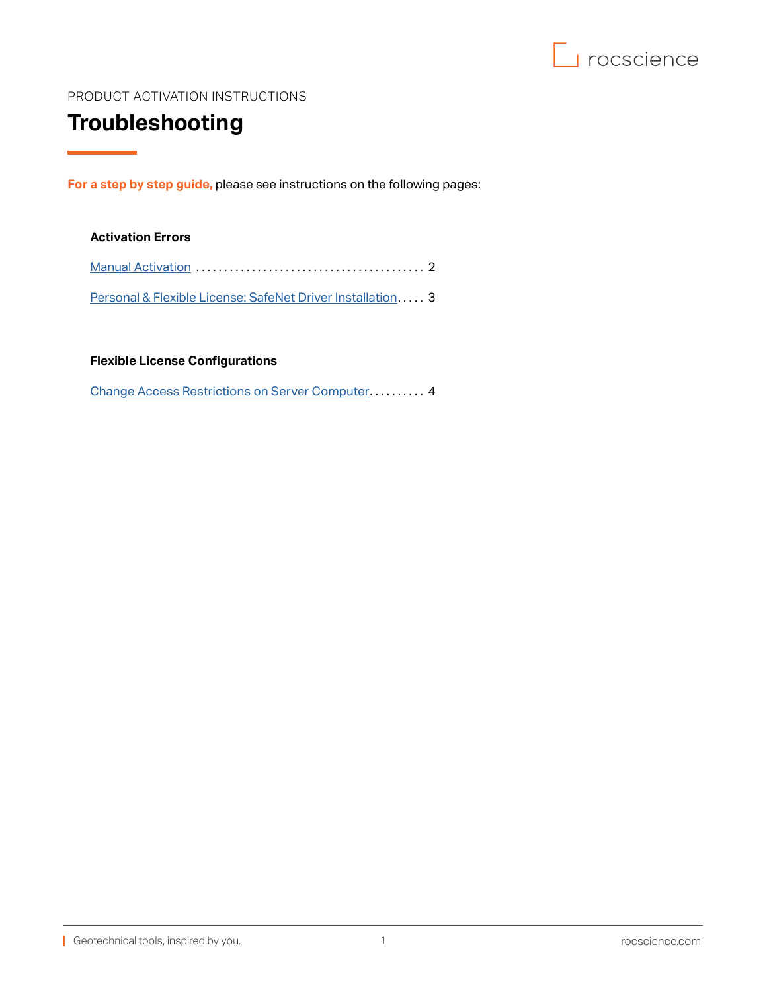

## <span id="page-0-0"></span>PRODUCT ACTIVATION INSTRUCTIONS

# **Troubleshooting**

**For a step by step guide,** please see instructions on the following pages:

## **Activation Errors**

| Personal & Flexible License: SafeNet Driver Installation 3 |  |
|------------------------------------------------------------|--|

**Flexible License Configurations**

[Change Access Restrictions on Server Computer](#page-3-0).......... 4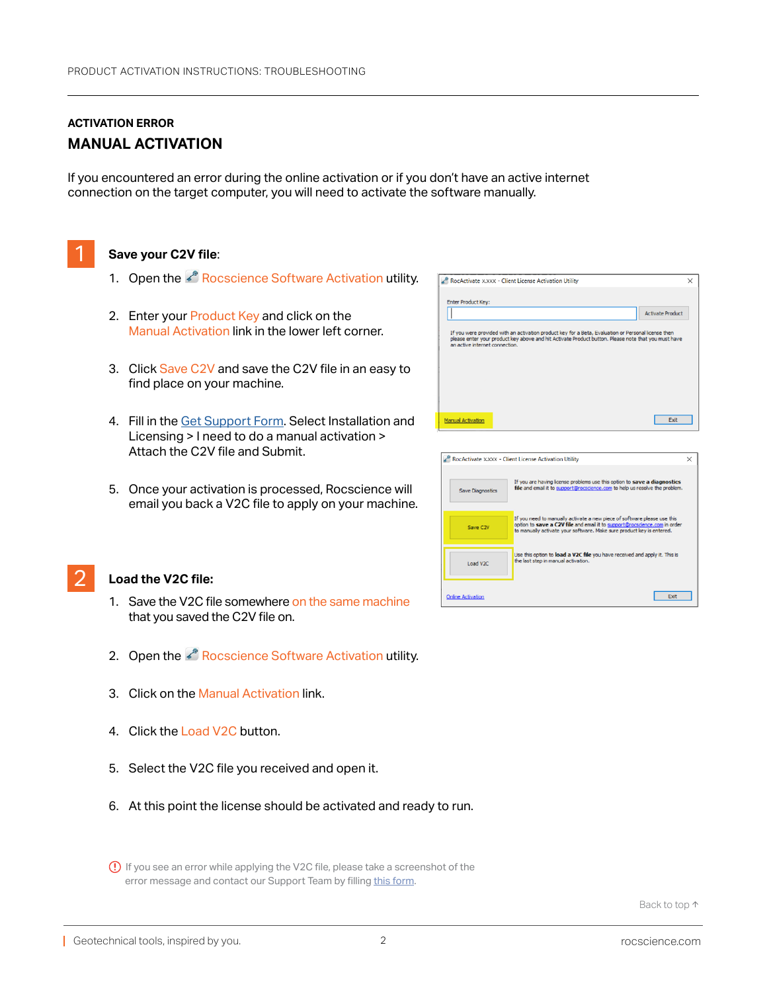## <span id="page-1-0"></span>**ACTIVATION ERROR MANUAL ACTIVATION**

If you encountered an error during the online activation or if you don't have an active internet connection on the target computer, you will need to activate the software manually.



## Save your C2V file:

- 1. Open the **P** Rocscience Software Activation utility.
- 2. Enter your Product Key and click on the Manual Activation link in the lower left corner.
- 3. Click Save C2V and save the C2V file in an easy to find place on your machine.
- 4. Fill in the [Get Support Form](https://www.rocscience.com/support/get-support). Select Installation and Licensing > I need to do a manual activation > Attach the C2V file and Submit.
- 5. Once your activation is processed, Rocscience will email you back a V2C file to apply on your machine.

| RocActivate XXXX - Client License Activation Utility                                                                                                                                                                                         | X |
|----------------------------------------------------------------------------------------------------------------------------------------------------------------------------------------------------------------------------------------------|---|
| <b>Enter Product Key:</b>                                                                                                                                                                                                                    |   |
| <b>Activate Product</b>                                                                                                                                                                                                                      |   |
| If you were provided with an activation product key for a Beta, Evaluation or Personal license then<br>please enter your product key above and hit Activate Product button. Please note that you must have<br>an active internet connection. |   |
|                                                                                                                                                                                                                                              |   |
| Exit<br><b>Manual Activation</b>                                                                                                                                                                                                             |   |
|                                                                                                                                                                                                                                              |   |

| <b>Save Diagnostics</b>  | If you are having license problems use this option to save a diagnostics<br>file and email it to support@rocscience.com to help us resolve the problem.                                                                        |
|--------------------------|--------------------------------------------------------------------------------------------------------------------------------------------------------------------------------------------------------------------------------|
| Save C2V                 | If you need to manually activate a new piece of software please use this<br>option to save a C2V file and email it to support@rocscience.com in order<br>to manually activate your software. Make sure product key is entered. |
| Load V2C                 | Use this option to load a V2C file you have received and apply it. This is<br>the last step in manual activation.                                                                                                              |
| <b>Online Activation</b> | Exit                                                                                                                                                                                                                           |



#### 2 **Load the V2C file:**

- 1. Save the V2C file somewhere on the same machine that you saved the C2V file on.
- 2. Open the **Rocscience Software Activation utility.**
- 3. Click on the Manual Activation link.
- 4. Click the Load V2C button.
- 5. Select the V2C file you received and open it.
- 6. At this point the license should be activated and ready to run.

 If you see an error while applying the V2C file, please take a screenshot of the error message and contact our Support Team by filling [this form.](https://www.rocscience.com/support/get-support)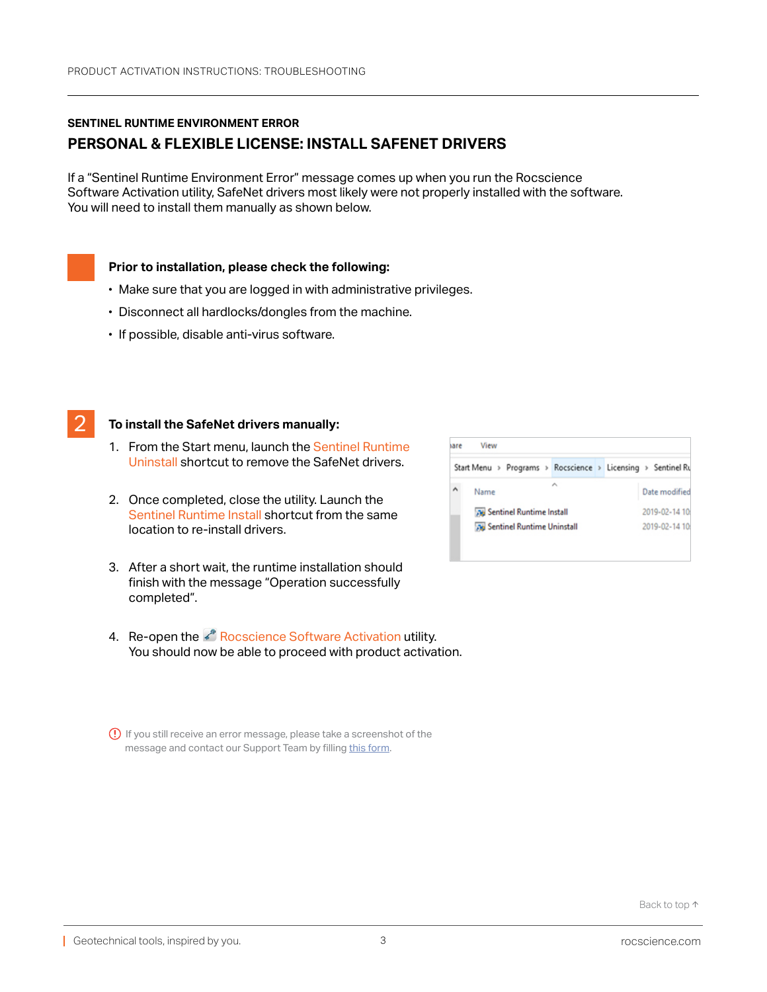## <span id="page-2-0"></span>**SENTINEL RUNTIME ENVIRONMENT ERROR PERSONAL & FLEXIBLE LICENSE: INSTALL SAFENET DRIVERS**

If a "Sentinel Runtime Environment Error" message comes up when you run the Rocscience Software Activation utility, SafeNet drivers most likely were not properly installed with the software. You will need to install them manually as shown below.

#### **Prior to installation, please check the following:**

- Make sure that you are logged in with administrative privileges.
- Disconnect all hardlocks/dongles from the machine.
- If possible, disable anti-virus software.

1<br>11

#### 2 **To install the SafeNet drivers manually:**

- 1. From the Start menu, launch the Sentinel Runtime Uninstall shortcut to remove the SafeNet drivers.
- 2. Once completed, close the utility. Launch the Sentinel Runtime Install shortcut from the same location to re-install drivers.
- 3. After a short wait, the runtime installation should finish with the message "Operation successfully completed".
- 4. Re-open the & Rocscience Software Activation utility. You should now be able to proceed with product activation.
- If you still receive an error message, please take a screenshot of the message and contact our Support Team by filling [this form](https://www.rocscience.com/support/get-support).

| aare | View                                                         |   |  |               |
|------|--------------------------------------------------------------|---|--|---------------|
|      | Start Menu > Programs > Rocscience > Licensing > Sentinel Ru |   |  |               |
|      | Name                                                         | ۸ |  | Date modified |
|      | <b>No Sentinel Runtime Install</b>                           |   |  | 2019-02-14 10 |
|      | <b>No Sentinel Runtime Uninstall</b>                         |   |  | 2019-02-14 10 |
|      |                                                              |   |  |               |